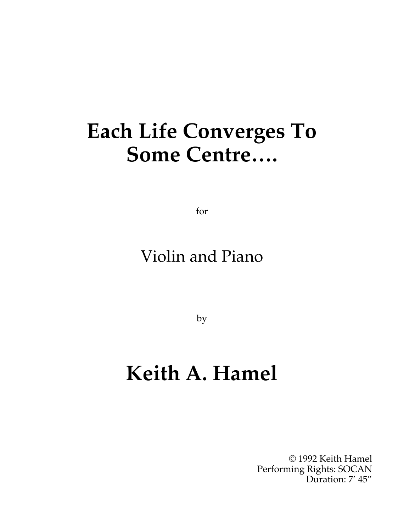# **Each Life Converges To Some Centre….**

for

## Violin and Piano

by

# **Keith A. Hamel**

© 1992 Keith Hamel Performing Rights: SOCAN Duration: 7' 45"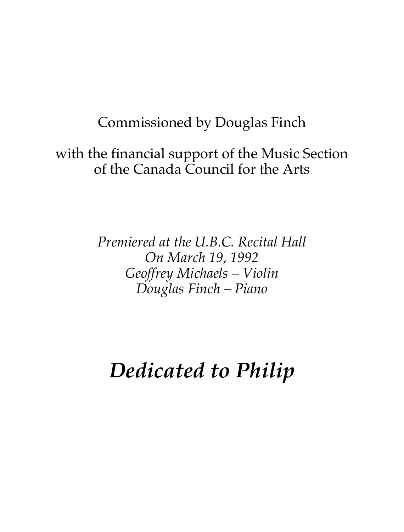## Commissioned by Douglas Finch

with the financial support of the Music Section of the Canada Council for the Arts

> *Premiered at the U.B.C. Recital Hall On March 19, 1992 Geoffrey Michaels – Violin Douglas Finch – Piano*

*Dedicated to Philip*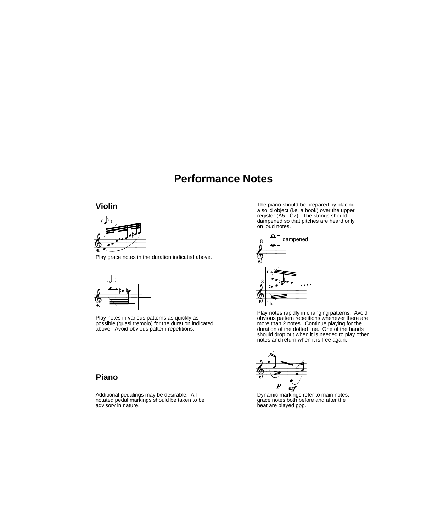### **Performance Notes**



Play grace notes in the duration indicated above.



Play notes in various patterns as quickly as possible (quasi tremolo) for the duration indicated above. Avoid obvious pattern repetitions.

#### **Piano**

Additional pedalings may be desirable. All notated pedal markings should be taken to be advisory in nature.

**Violin**<br>
a solid object (i.e. a book) over the upper<br>
a solid object (i.e. a book) over the upper register (A5 - C7). The strings should dampened so that pitches are heard only on loud notes.



Play notes rapidly in changing patterns. Avoid obvious pattern repetitions whenever there are more than 2 notes. Continue playing for the duration of the dotted line. One of the hands should drop out when it is needed to play other notes and return when it is free again.



 $p \overrightarrow{m}$  mf Dynamic markings refer to main notes; grace notes both before and after the beat are played ppp.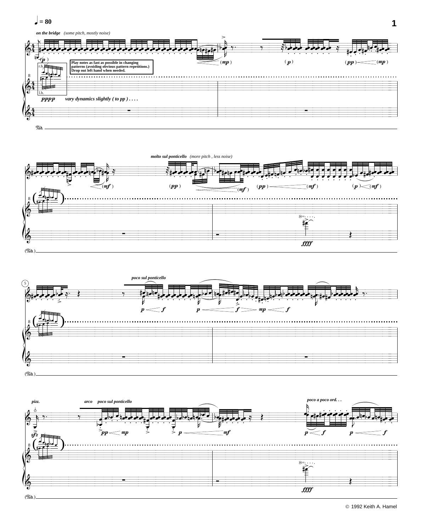







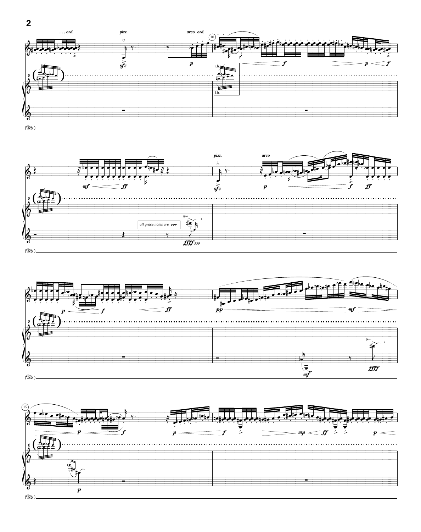





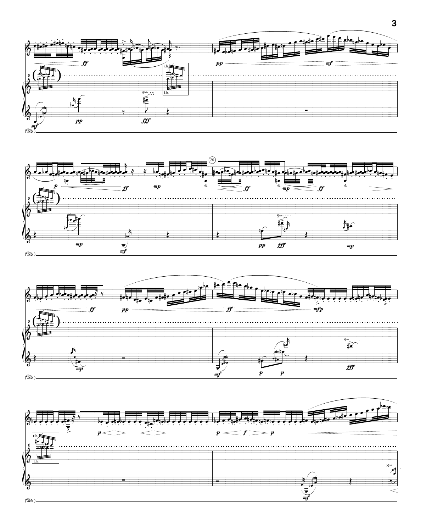







 $\overline{\mathbf{3}}$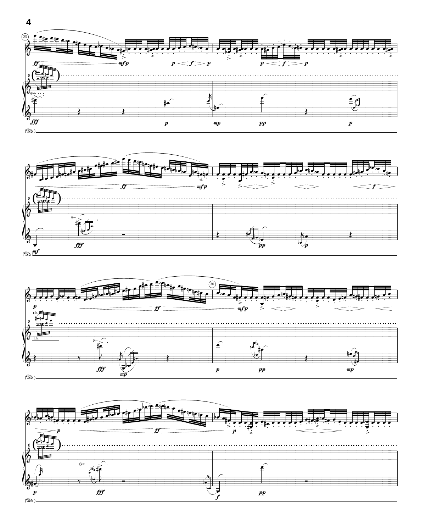





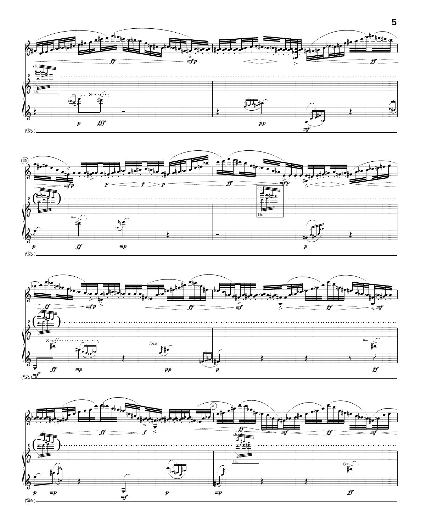





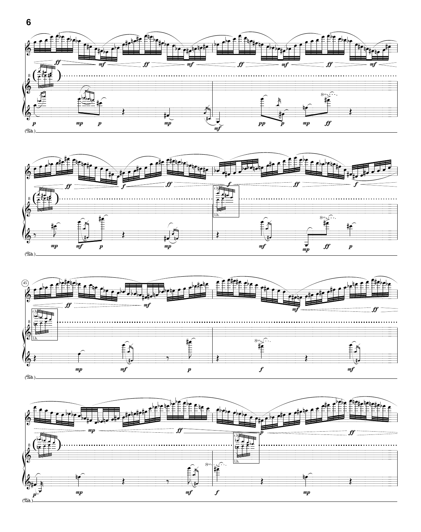





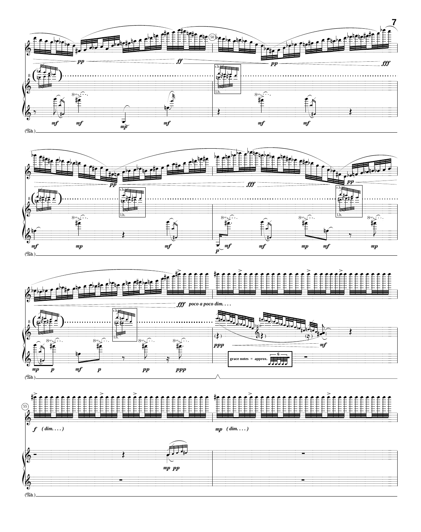





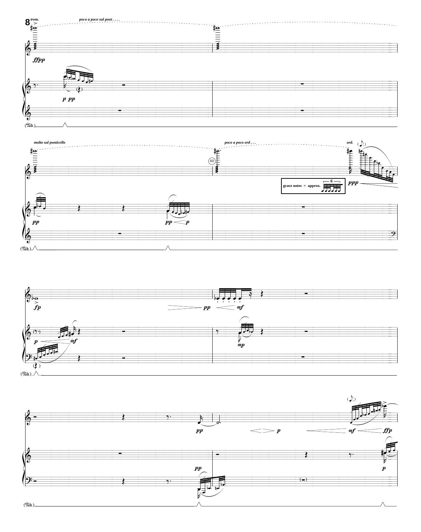





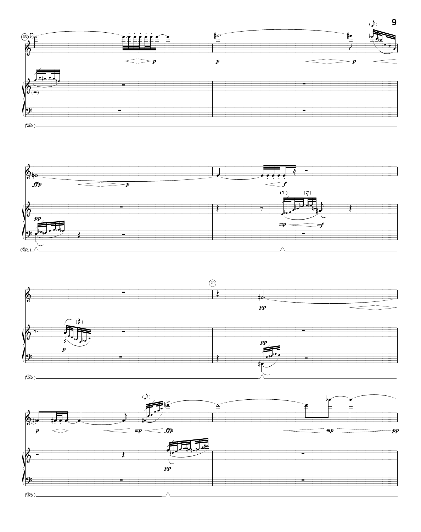





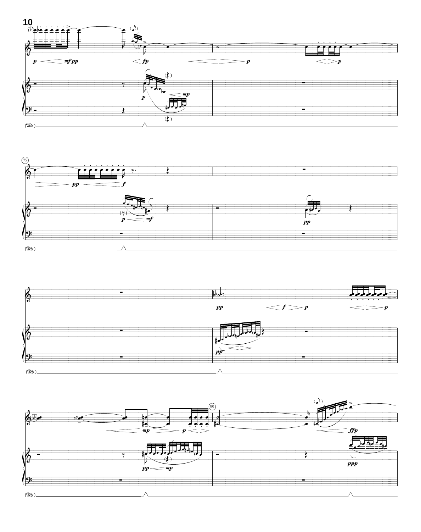





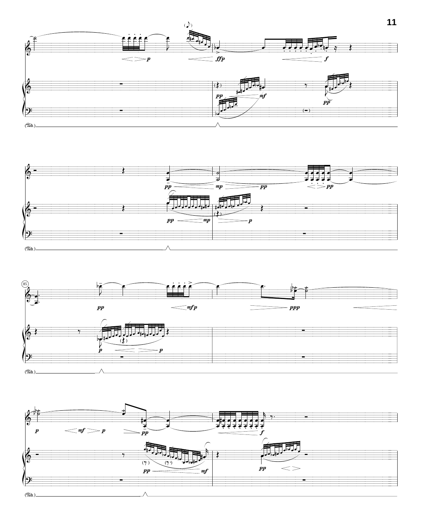





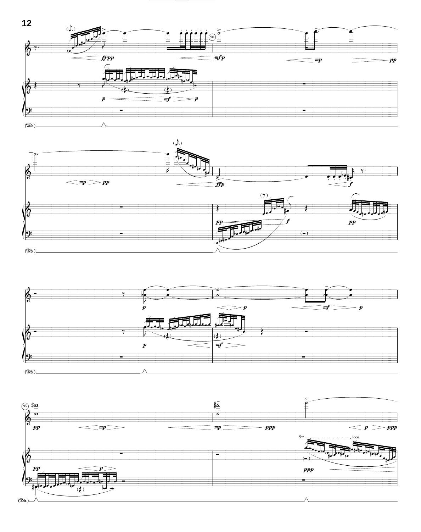





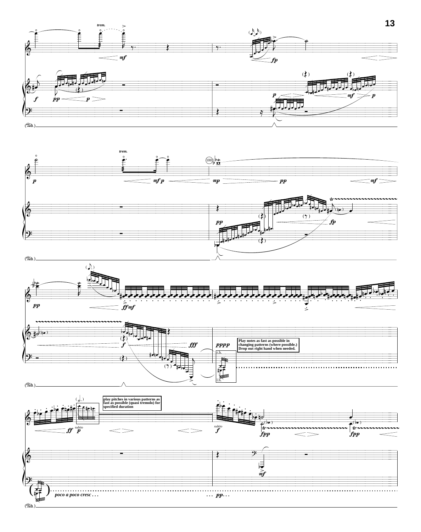





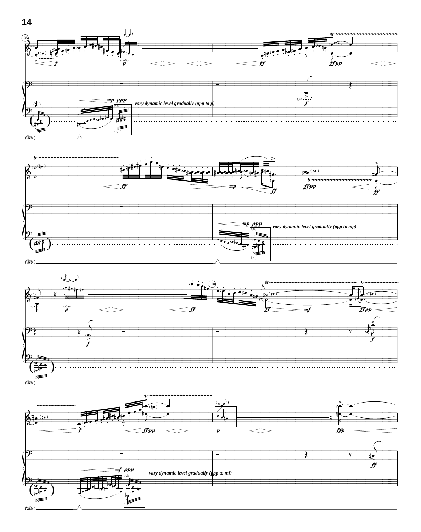





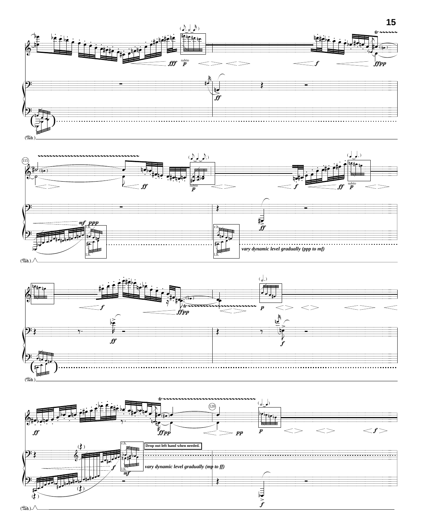